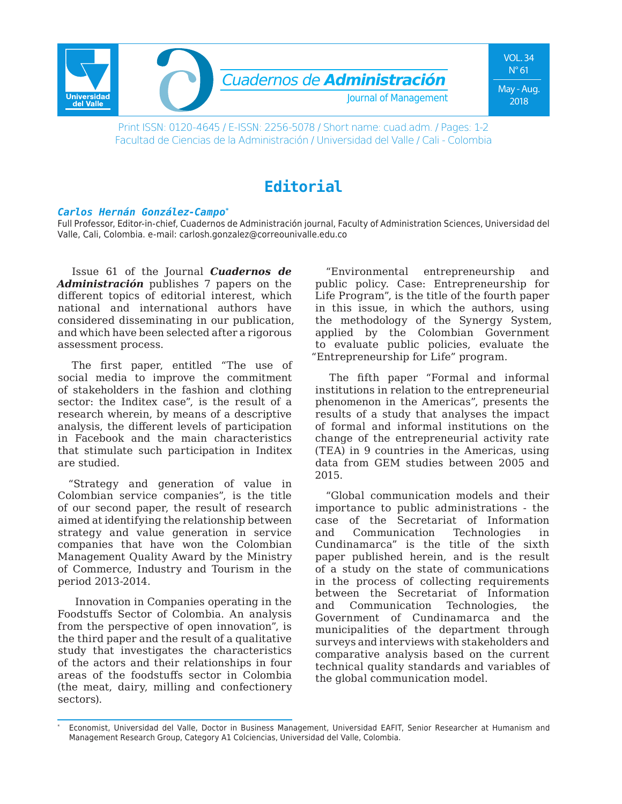

Print ISSN: 0120-4645 / E-ISSN: 2256-5078 / Short name: cuad.adm. / Pages: 1-2 Facultad de Ciencias de la Administración / Universidad del Valle / Cali - Colombia

## **Editorial**

## *Carlos Hernán González-Campo\**

Full Professor, Editor-in-chief, Cuadernos de Administración journal, Faculty of Administration Sciences, Universidad del Valle, Cali, Colombia. e-mail: carlosh.gonzalez@correounivalle.edu.co

Issue 61 of the Journal *Cuadernos de Administración* publishes 7 papers on the different topics of editorial interest, which national and international authors have considered disseminating in our publication, and which have been selected after a rigorous assessment process.

The first paper, entitled "The use of social media to improve the commitment of stakeholders in the fashion and clothing sector: the Inditex case", is the result of a research wherein, by means of a descriptive analysis, the different levels of participation in Facebook and the main characteristics that stimulate such participation in Inditex are studied.

"Strategy and generation of value in Colombian service companies", is the title of our second paper, the result of research aimed at identifying the relationship between strategy and value generation in service companies that have won the Colombian Management Quality Award by the Ministry of Commerce, Industry and Tourism in the period 2013-2014.

 Innovation in Companies operating in the Foodstuffs Sector of Colombia. An analysis from the perspective of open innovation", is the third paper and the result of a qualitative study that investigates the characteristics of the actors and their relationships in four areas of the foodstuffs sector in Colombia (the meat, dairy, milling and confectionery sectors).

"Environmental entrepreneurship and public policy. Case: Entrepreneurship for Life Program", is the title of the fourth paper in this issue, in which the authors, using the methodology of the Synergy System, applied by the Colombian Government to evaluate public policies, evaluate the "Entrepreneurship for Life" program.

The fifth paper "Formal and informal institutions in relation to the entrepreneurial phenomenon in the Americas", presents the results of a study that analyses the impact of formal and informal institutions on the change of the entrepreneurial activity rate (TEA) in 9 countries in the Americas, using data from GEM studies between 2005 and 2015.

"Global communication models and their importance to public administrations - the case of the Secretariat of Information and Communication Technologies in Cundinamarca" is the title of the sixth paper published herein, and is the result of a study on the state of communications in the process of collecting requirements between the Secretariat of Information and Communication Technologies, the Government of Cundinamarca and the municipalities of the department through surveys and interviews with stakeholders and comparative analysis based on the current technical quality standards and variables of the global communication model.

Economist, Universidad del Valle, Doctor in Business Management, Universidad EAFIT, Senior Researcher at Humanism and Management Research Group, Category A1 Colciencias, Universidad del Valle, Colombia.